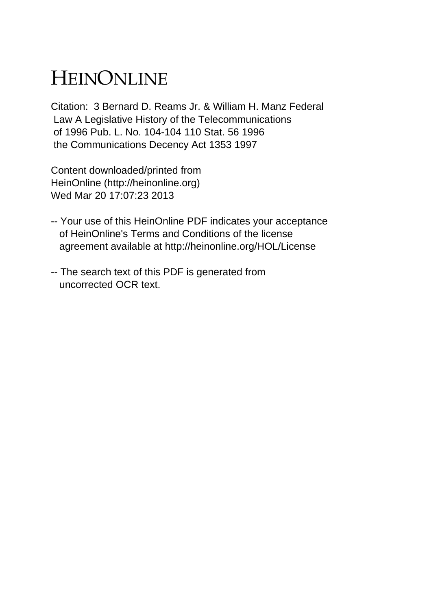## HEINONLINE

Citation: 3 Bernard D. Reams Jr. & William H. Manz Federal Law A Legislative History of the Telecommunications of 1996 Pub. L. No. 104-104 110 Stat. 56 1996 the Communications Decency Act 1353 1997

Content downloaded/printed from HeinOnline (http://heinonline.org) Wed Mar 20 17:07:23 2013

- -- Your use of this HeinOnline PDF indicates your acceptance of HeinOnline's Terms and Conditions of the license agreement available at http://heinonline.org/HOL/License
- -- The search text of this PDF is generated from uncorrected OCR text.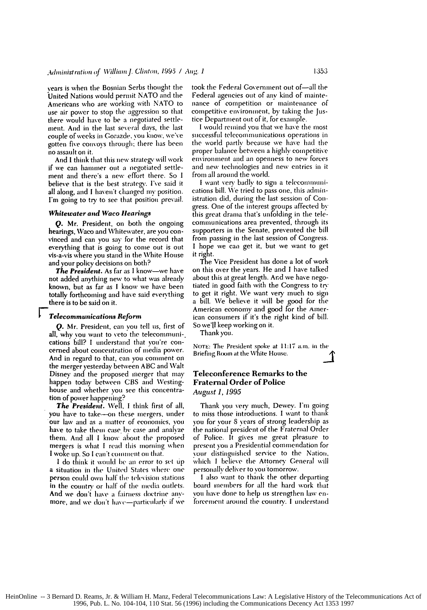years is when the Bosnian Serbs thought the United Nations would permit NATO and the Americans who are working with NATO to use air power to stop the aggression so that there would have to be a negotiated settlement. And in the last several days, the last couple of weeks in Corazde, you know, we've gotten five convoys through; there has been no assault on it.

And **I** think that this new strategy will work if we can hammer out a negotiated settlement and there's a new effort there. So I believe that is the best strategy. I've said it all along, and I haven't changed my position. I'm going to try to see that position prevail.

## *Whitewater and* Waco *learings*

**Q.** Mr. President, on both the ongoing hearings, Vaco and Whitewater, are you convinced and can you say for the record that everything that is going to come out is out vis-a-vis where you stand in the White House and your policy decisions on both?

*The President.* As far as I know-we have not added anything new to what was already known, but as far as I know we have been totally forthcoming and have said everything there is to be said on it.

## *Telecommunications Reform*

**Q.** Mr. President, can you tell us, first of all, why you want to veto the telecommuni-. cations bill? I understand that you're concerned about concentration of media power. And in regard to that, can you comment on the merger yesterday between ABC and Walt Disney and the proposed merger that may happen today between CBS and Westinghouse and whether you see this concentration of power happening?

*The President.* Well, I think first of all, you have to take-on these mergers, under our law and as a matter of economics, vou have to take them case by case and analyze them. And all I know about the proposed mergers is what I read this morning when **I** woke up. So I can't comment on that.

**I** do t ink it would he an error to set **up** a situation in the United States where one person could own half the television stations **in** the country or half of the inedia outlets. And we don't have a fairness doctrine anymore, anl **we** dou't havc-particularly if we took the Federal Government out of-all the Federal agencies out of any kind of maintenance of competition or maintenance of competitive environment, by taking the Justice Department out of it, for example.

**I** would remind You that we have the most successful telecommunications operations in the world partly because we have had the proper balance between a highly competitive environment and an openness to new forces and new technologies and new entries in it from all around the world.

I want very badly to sign a telecommunications bill. \We tried to pass one, this administration did, during the last session of Congress. One of the interest groups affected by this great drama that's unfolding in the telecommunications area prevented, through its supporters in the Senate, prevented the bill from passing in the last session of Congress. I hope we can get it, but we want to get it right.

The Vice President has done a lot of work on this over the years. He and I have talked about this at great length. Ard we have negotiated in good faith with the Congress to try to get it right. We want very much to sign a bill. We believe it will be good for the American economy and good for the American consumers if it's the right kind of bill. So we'll keep working on it.

Thank you.

NOTE: The President spoke at 11:17 a.m. in the Briefing Room at the White House.

## **Teleconference Remarks to the Fraternal Order of Police** *August 1, 1995*

Thank you very much, Dewey. I'm going to miss those introductions. I want to thank you for your 8 years of strong leadership as the national president of the Fraternal Order of Police. It gives me great pleasure to present you a Presidential commendation for your distinguished service to the Nation, Which I believe the Attorney General will personally deliver to you tomorrow.

**I** also want to thank the other departing board members for all the hard work that you have done to help us strengthen law enforcenent around the country. **I** understand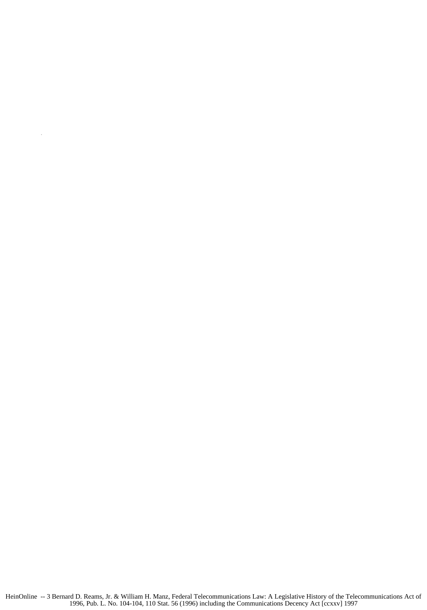HeinOnline -- 3 Bernard D. Reams, Jr. & William H. Manz, Federal Telecommunications Law: A Legislative History of the Telecommunications Act of 1996, Pub. L. No. 104-104, 110 Stat. 56 (1996) including the Communications Decency Act [ccxxv] 1997

 $\bar{z}$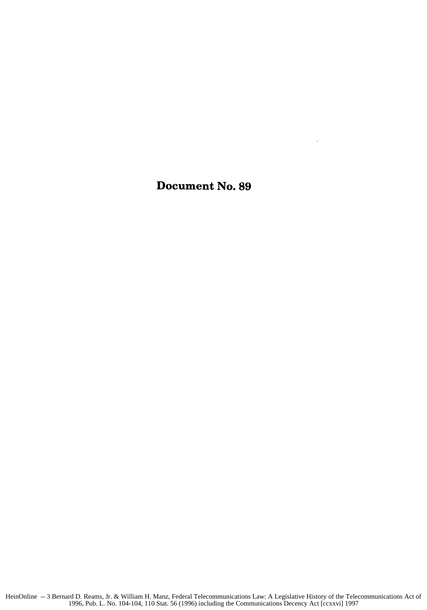Document No. **89**

 $\bar{\psi}$